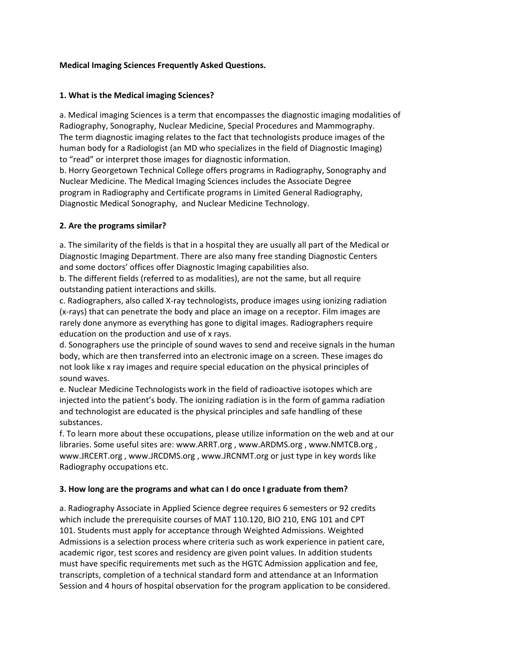#### **Medical Imaging Sciences Frequently Asked Questions.**

#### **1. What is the Medical imaging Sciences?**

a. Medical imaging Sciences is a term that encompasses the diagnostic imaging modalities of Radiography, Sonography, Nuclear Medicine, Special Procedures and Mammography. The term diagnostic imaging relates to the fact that technologists produce images of the human body for a Radiologist (an MD who specializes in the field of Diagnostic Imaging) to "read" or interpret those images for diagnostic information.

b. Horry Georgetown Technical College offers programs in Radiography, Sonography and Nuclear Medicine. The Medical Imaging Sciences includes the Associate Degree program in Radiography and Certificate programs in Limited General Radiography, Diagnostic Medical Sonography, and Nuclear Medicine Technology.

#### **2. Are the programs similar?**

a. The similarity of the fields is that in a hospital they are usually all part of the Medical or Diagnostic Imaging Department. There are also many free standing Diagnostic Centers and some doctors' offices offer Diagnostic Imaging capabilities also.

b. The different fields (referred to as modalities), are not the same, but all require outstanding patient interactions and skills.

c. Radiographers, also called X-ray technologists, produce images using ionizing radiation (x-rays) that can penetrate the body and place an image on a receptor. Film images are rarely done anymore as everything has gone to digital images. Radiographers require education on the production and use of x rays.

d. Sonographers use the principle of sound waves to send and receive signals in the human body, which are then transferred into an electronic image on a screen. These images do not look like x ray images and require special education on the physical principles of sound waves.

e. Nuclear Medicine Technologists work in the field of radioactive isotopes which are injected into the patient's body. The ionizing radiation is in the form of gamma radiation and technologist are educated is the physical principles and safe handling of these substances.

f. To learn more about these occupations, please utilize information on the web and at our libraries. Some useful sites are: www.ARRT.org , www.ARDMS.org , www.NMTCB.org , www.JRCERT.org , www.JRCDMS.org , www.JRCNMT.org or just type in key words like Radiography occupations etc.

# **3. How long are the programs and what can I do once I graduate from them?**

a. Radiography Associate in Applied Science degree requires 6 semesters or 92 credits which include the prerequisite courses of MAT 110.120, BIO 210, ENG 101 and CPT 101. Students must apply for acceptance through Weighted Admissions. Weighted Admissions is a selection process where criteria such as work experience in patient care, academic rigor, test scores and residency are given point values. In addition students must have specific requirements met such as the HGTC Admission application and fee, transcripts, completion of a technical standard form and attendance at an Information Session and 4 hours of hospital observation for the program application to be considered.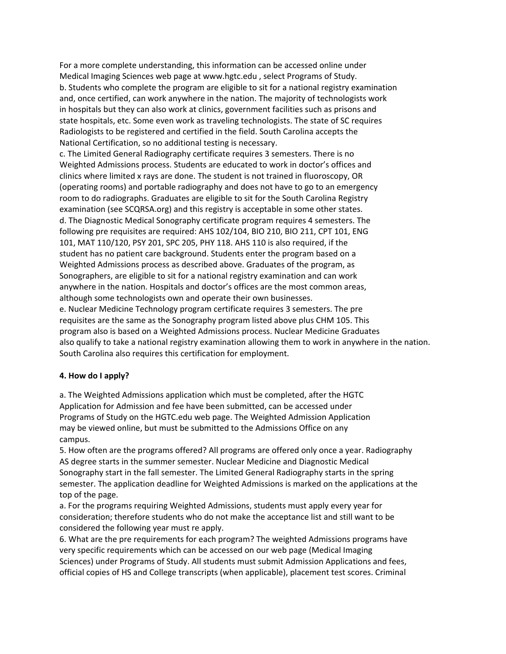For a more complete understanding, this information can be accessed online under Medical Imaging Sciences web page at www.hgtc.edu , select Programs of Study. b. Students who complete the program are eligible to sit for a national registry examination and, once certified, can work anywhere in the nation. The majority of technologists work in hospitals but they can also work at clinics, government facilities such as prisons and state hospitals, etc. Some even work as traveling technologists. The state of SC requires Radiologists to be registered and certified in the field. South Carolina accepts the National Certification, so no additional testing is necessary.

c. The Limited General Radiography certificate requires 3 semesters. There is no Weighted Admissions process. Students are educated to work in doctor's offices and clinics where limited x rays are done. The student is not trained in fluoroscopy, OR (operating rooms) and portable radiography and does not have to go to an emergency room to do radiographs. Graduates are eligible to sit for the South Carolina Registry examination (see SCQRSA.org) and this registry is acceptable in some other states. d. The Diagnostic Medical Sonography certificate program requires 4 semesters. The following pre requisites are required: AHS 102/104, BIO 210, BIO 211, CPT 101, ENG 101, MAT 110/120, PSY 201, SPC 205, PHY 118. AHS 110 is also required, if the student has no patient care background. Students enter the program based on a Weighted Admissions process as described above. Graduates of the program, as Sonographers, are eligible to sit for a national registry examination and can work anywhere in the nation. Hospitals and doctor's offices are the most common areas, although some technologists own and operate their own businesses. e. Nuclear Medicine Technology program certificate requires 3 semesters. The pre requisites are the same as the Sonography program listed above plus CHM 105. This program also is based on a Weighted Admissions process. Nuclear Medicine Graduates also qualify to take a national registry examination allowing them to work in anywhere in the nation. South Carolina also requires this certification for employment.

#### **4. How do I apply?**

a. The Weighted Admissions application which must be completed, after the HGTC Application for Admission and fee have been submitted, can be accessed under Programs of Study on the HGTC.edu web page. The Weighted Admission Application may be viewed online, but must be submitted to the Admissions Office on any campus.

5. How often are the programs offered? All programs are offered only once a year. Radiography AS degree starts in the summer semester. Nuclear Medicine and Diagnostic Medical Sonography start in the fall semester. The Limited General Radiography starts in the spring semester. The application deadline for Weighted Admissions is marked on the applications at the top of the page.

a. For the programs requiring Weighted Admissions, students must apply every year for consideration; therefore students who do not make the acceptance list and still want to be considered the following year must re apply.

6. What are the pre requirements for each program? The weighted Admissions programs have very specific requirements which can be accessed on our web page (Medical Imaging Sciences) under Programs of Study. All students must submit Admission Applications and fees, official copies of HS and College transcripts (when applicable), placement test scores. Criminal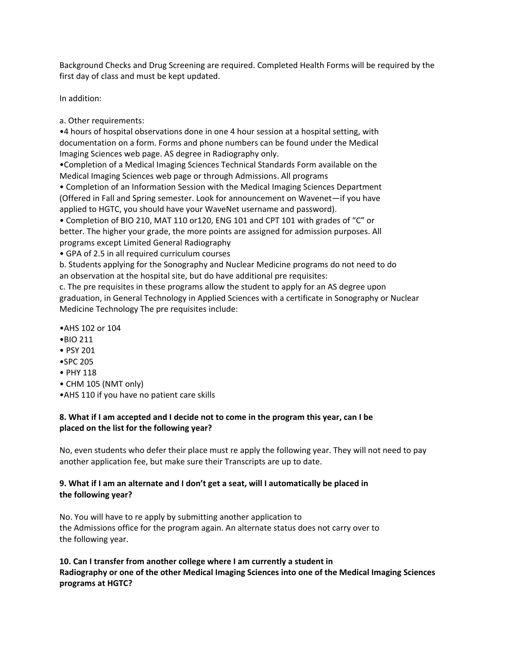Background Checks and Drug Screening are required. Completed Health Forms will be required by the first day of class and must be kept updated.

In addition:

a. Other requirements:

•4 hours of hospital observations done in one 4 hour session at a hospital setting, with documentation on a form. Forms and phone numbers can be found under the Medical Imaging Sciences web page. AS degree in Radiography only.

•Completion of a Medical Imaging Sciences Technical Standards Form available on the Medical Imaging Sciences web page or through Admissions. All programs

• Completion of an Information Session with the Medical Imaging Sciences Department (Offered in Fall and Spring semester. Look for announcement on Wavenet—if you have applied to HGTC, you should have your WaveNet username and password).

• Completion of BIO 210, MAT 110 or120, ENG 101 and CPT 101 with grades of "C" or better. The higher your grade, the more points are assigned for admission purposes. All programs except Limited General Radiography

• GPA of 2.5 in all required curriculum courses

b. Students applying for the Sonography and Nuclear Medicine programs do not need to do an observation at the hospital site, but do have additional pre requisites:

c. The pre requisites in these programs allow the student to apply for an AS degree upon graduation, in General Technology in Applied Sciences with a certificate in Sonography or Nuclear Medicine Technology The pre requisites include:

- •AHS 102 or 104
- •BIO 211
- PSY 201
- •SPC 205
- PHY 118
- CHM 105 (NMT only)
- •AHS 110 if you have no patient care skills

#### **8. What if I am accepted and I decide not to come in the program this year, can I be placed on the list for the following year?**

No, even students who defer their place must re apply the following year. They will not need to pay another application fee, but make sure their Transcripts are up to date.

# **9. What if I am an alternate and I don't get a seat, will I automatically be placed in the following year?**

No. You will have to re apply by submitting another application to the Admissions office for the program again. An alternate status does not carry over to the following year.

# **10. Can I transfer from another college where I am currently a student in Radiography or one of the other Medical Imaging Sciences into one of the Medical Imaging Sciences programs at HGTC?**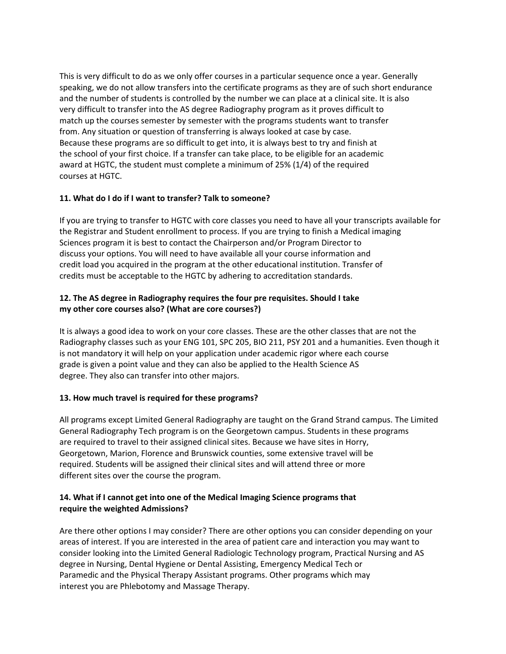This is very difficult to do as we only offer courses in a particular sequence once a year. Generally speaking, we do not allow transfers into the certificate programs as they are of such short endurance and the number of students is controlled by the number we can place at a clinical site. It is also very difficult to transfer into the AS degree Radiography program as it proves difficult to match up the courses semester by semester with the programs students want to transfer from. Any situation or question of transferring is always looked at case by case. Because these programs are so difficult to get into, it is always best to try and finish at the school of your first choice. If a transfer can take place, to be eligible for an academic award at HGTC, the student must complete a minimum of 25% (1/4) of the required courses at HGTC.

# **11. What do I do if I want to transfer? Talk to someone?**

If you are trying to transfer to HGTC with core classes you need to have all your transcripts available for the Registrar and Student enrollment to process. If you are trying to finish a Medical imaging Sciences program it is best to contact the Chairperson and/or Program Director to discuss your options. You will need to have available all your course information and credit load you acquired in the program at the other educational institution. Transfer of credits must be acceptable to the HGTC by adhering to accreditation standards.

# **12. The AS degree in Radiography requires the four pre requisites. Should I take my other core courses also? (What are core courses?)**

It is always a good idea to work on your core classes. These are the other classes that are not the Radiography classes such as your ENG 101, SPC 205, BIO 211, PSY 201 and a humanities. Even though it is not mandatory it will help on your application under academic rigor where each course grade is given a point value and they can also be applied to the Health Science AS degree. They also can transfer into other majors.

# **13. How much travel is required for these programs?**

All programs except Limited General Radiography are taught on the Grand Strand campus. The Limited General Radiography Tech program is on the Georgetown campus. Students in these programs are required to travel to their assigned clinical sites. Because we have sites in Horry, Georgetown, Marion, Florence and Brunswick counties, some extensive travel will be required. Students will be assigned their clinical sites and will attend three or more different sites over the course the program.

# **14. What if I cannot get into one of the Medical Imaging Science programs that require the weighted Admissions?**

Are there other options I may consider? There are other options you can consider depending on your areas of interest. If you are interested in the area of patient care and interaction you may want to consider looking into the Limited General Radiologic Technology program, Practical Nursing and AS degree in Nursing, Dental Hygiene or Dental Assisting, Emergency Medical Tech or Paramedic and the Physical Therapy Assistant programs. Other programs which may interest you are Phlebotomy and Massage Therapy.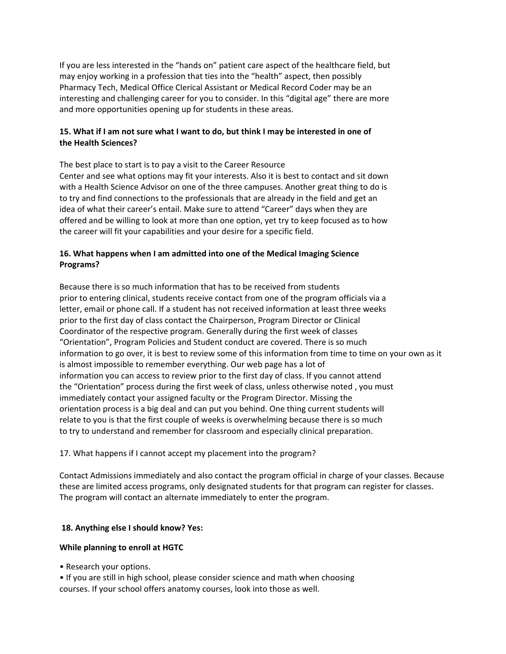If you are less interested in the "hands on" patient care aspect of the healthcare field, but may enjoy working in a profession that ties into the "health" aspect, then possibly Pharmacy Tech, Medical Office Clerical Assistant or Medical Record Coder may be an interesting and challenging career for you to consider. In this "digital age" there are more and more opportunities opening up for students in these areas.

# **15. What if I am not sure what I want to do, but think I may be interested in one of the Health Sciences?**

The best place to start is to pay a visit to the Career Resource Center and see what options may fit your interests. Also it is best to contact and sit down with a Health Science Advisor on one of the three campuses. Another great thing to do is to try and find connections to the professionals that are already in the field and get an idea of what their career's entail. Make sure to attend "Career" days when they are offered and be willing to look at more than one option, yet try to keep focused as to how the career will fit your capabilities and your desire for a specific field.

# **16. What happens when I am admitted into one of the Medical Imaging Science Programs?**

Because there is so much information that has to be received from students prior to entering clinical, students receive contact from one of the program officials via a letter, email or phone call. If a student has not received information at least three weeks prior to the first day of class contact the Chairperson, Program Director or Clinical Coordinator of the respective program. Generally during the first week of classes "Orientation", Program Policies and Student conduct are covered. There is so much information to go over, it is best to review some of this information from time to time on your own as it is almost impossible to remember everything. Our web page has a lot of information you can access to review prior to the first day of class. If you cannot attend the "Orientation" process during the first week of class, unless otherwise noted , you must immediately contact your assigned faculty or the Program Director. Missing the orientation process is a big deal and can put you behind. One thing current students will relate to you is that the first couple of weeks is overwhelming because there is so much to try to understand and remember for classroom and especially clinical preparation.

#### 17. What happens if I cannot accept my placement into the program?

Contact Admissions immediately and also contact the program official in charge of your classes. Because these are limited access programs, only designated students for that program can register for classes. The program will contact an alternate immediately to enter the program.

# **18. Anything else I should know? Yes:**

# **While planning to enroll at HGTC**

• Research your options.

• If you are still in high school, please consider science and math when choosing courses. If your school offers anatomy courses, look into those as well.